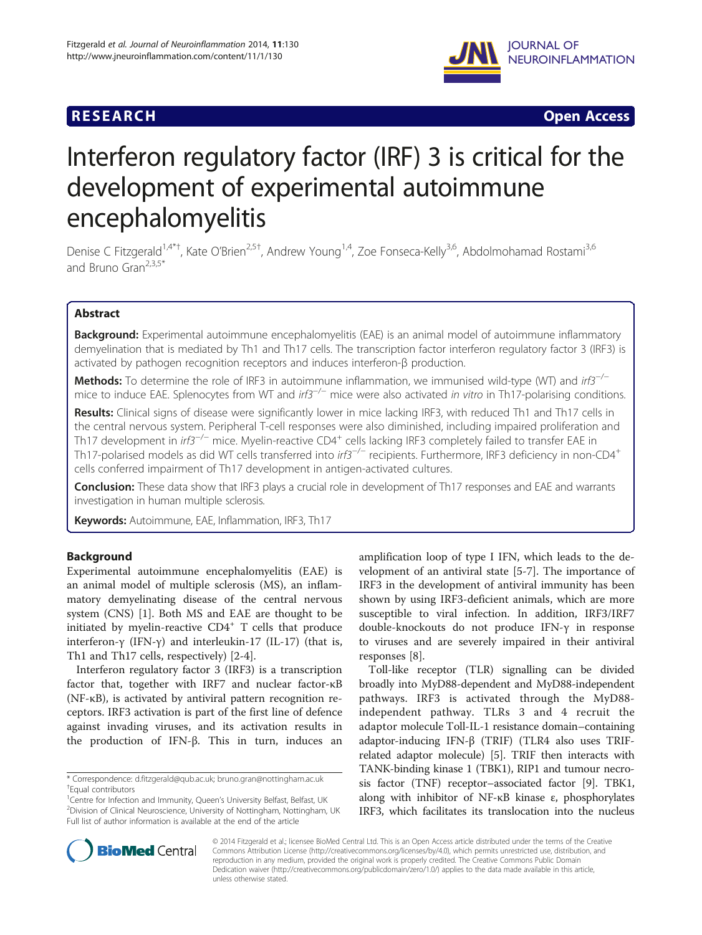## **RESEARCH RESEARCH** *CHECK CHECK CHECK CHECK CHECK CHECK CHECK CHECK CHECK CHECK CHECK CHECK CHECK CHECK CHECK CHECK CHECK CHECK CHECK CHECK CHECK CHECK CHECK CHECK CHECK CHECK CHECK CHECK CHECK CHECK CHECK CHECK CHECK*



# Interferon regulatory factor (IRF) 3 is critical for the development of experimental autoimmune encephalomyelitis

Denise C Fitzgerald<sup>1,4\*†</sup>, Kate O'Brien<sup>2,5†</sup>, Andrew Young<sup>1,4</sup>, Zoe Fonseca-Kelly<sup>3,6</sup>, Abdolmohamad Rostami<sup>3,6</sup> and Bruno Gran<sup>2,3,5\*</sup>

## Abstract

**Background:** Experimental autoimmune encephalomyelitis (EAE) is an animal model of autoimmune inflammatory demyelination that is mediated by Th1 and Th17 cells. The transcription factor interferon regulatory factor 3 (IRF3) is activated by pathogen recognition receptors and induces interferon-β production.

**Methods:** To determine the role of IRF3 in autoimmune inflammation, we immunised wild-type (WT) and  $irf3^{-/-}$ mice to induce EAE. Splenocytes from WT and  $irf3^{-/-}$  mice were also activated in vitro in Th17-polarising conditions.

Results: Clinical signs of disease were significantly lower in mice lacking IRF3, with reduced Th1 and Th17 cells in the central nervous system. Peripheral T-cell responses were also diminished, including impaired proliferation and Th17 development in irf3<sup>−/−</sup> mice. Myelin-reactive CD4<sup>+</sup> cells lacking IRF3 completely failed to transfer EAE in Th17-polarised models as did WT cells transferred into irf3<sup>−/−</sup> recipients. Furthermore, IRF3 deficiency in non-CD4<sup>+</sup> cells conferred impairment of Th17 development in antigen-activated cultures.

**Conclusion:** These data show that IRF3 plays a crucial role in development of Th17 responses and EAE and warrants investigation in human multiple sclerosis.

Keywords: Autoimmune, EAE, Inflammation, IRF3, Th17

## Background

Experimental autoimmune encephalomyelitis (EAE) is an animal model of multiple sclerosis (MS), an inflammatory demyelinating disease of the central nervous system (CNS) [[1\]](#page-6-0). Both MS and EAE are thought to be initiated by myelin-reactive  $CD4^+$  T cells that produce interferon-γ (IFN-γ) and interleukin-17 (IL-17) (that is, Th1 and Th17 cells, respectively) [[2-4\]](#page-6-0).

Interferon regulatory factor 3 (IRF3) is a transcription factor that, together with IRF7 and nuclear factor-κB (NF-κB), is activated by antiviral pattern recognition receptors. IRF3 activation is part of the first line of defence against invading viruses, and its activation results in the production of IFN-β. This in turn, induces an

<sup>1</sup> Centre for Infection and Immunity, Queen's University Belfast, Belfast, UK<br><sup>2</sup> Division of Clinical Nouroscionse, University of Nottingham, Nottingham <sup>2</sup>Division of Clinical Neuroscience, University of Nottingham, Nottingham, UK Full list of author information is available at the end of the article

amplification loop of type I IFN, which leads to the development of an antiviral state [[5-7\]](#page-6-0). The importance of IRF3 in the development of antiviral immunity has been shown by using IRF3-deficient animals, which are more susceptible to viral infection. In addition, IRF3/IRF7 double-knockouts do not produce IFN-γ in response to viruses and are severely impaired in their antiviral responses [\[8](#page-6-0)].

Toll-like receptor (TLR) signalling can be divided broadly into MyD88-dependent and MyD88-independent pathways. IRF3 is activated through the MyD88 independent pathway. TLRs 3 and 4 recruit the adaptor molecule Toll-IL-1 resistance domain–containing adaptor-inducing IFN-β (TRIF) (TLR4 also uses TRIFrelated adaptor molecule) [\[5](#page-6-0)]. TRIF then interacts with TANK-binding kinase 1 (TBK1), RIP1 and tumour necrosis factor (TNF) receptor–associated factor [\[9](#page-6-0)]. TBK1, along with inhibitor of NF-κB kinase ε, phosphorylates IRF3, which facilitates its translocation into the nucleus



© 2014 Fitzgerald et al.; licensee BioMed Central Ltd. This is an Open Access article distributed under the terms of the Creative Commons Attribution License [\(http://creativecommons.org/licenses/by/4.0\)](http://creativecommons.org/licenses/by/4.0), which permits unrestricted use, distribution, and reproduction in any medium, provided the original work is properly credited. The Creative Commons Public Domain Dedication waiver [\(http://creativecommons.org/publicdomain/zero/1.0/](http://creativecommons.org/publicdomain/zero/1.0/)) applies to the data made available in this article, unless otherwise stated.

<sup>\*</sup> Correspondence: [d.fitzgerald@qub.ac.uk](mailto:d.fitzgerald@qub.ac.uk); [bruno.gran@nottingham.ac.uk](mailto:bruno.gran@nottingham.ac.uk) † Equal contributors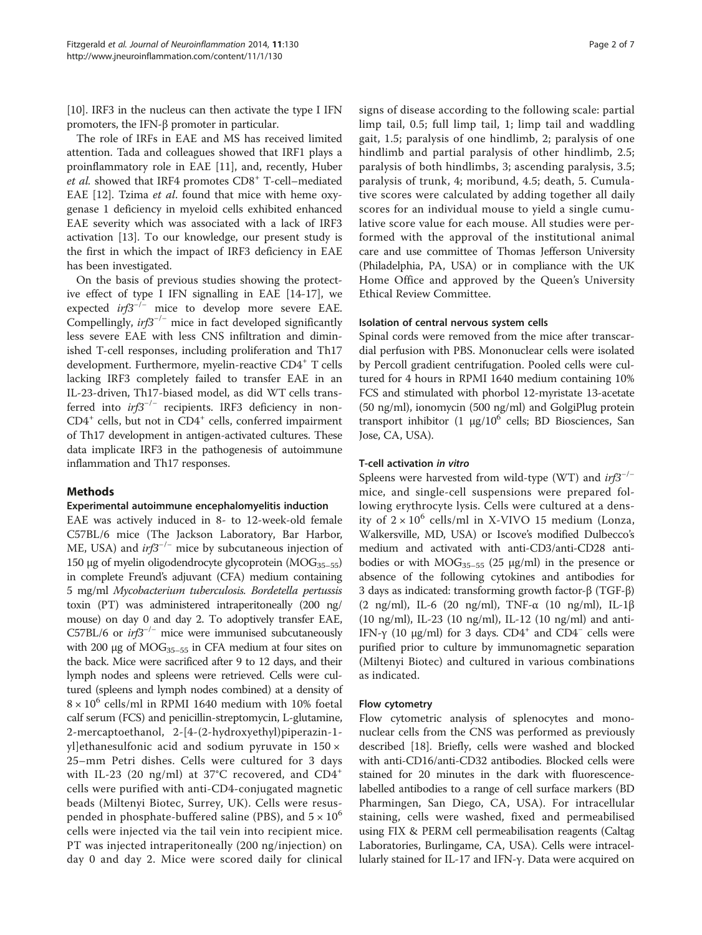[[10](#page-6-0)]. IRF3 in the nucleus can then activate the type I IFN promoters, the IFN-β promoter in particular.

The role of IRFs in EAE and MS has received limited attention. Tada and colleagues showed that IRF1 plays a proinflammatory role in EAE [[11\]](#page-6-0), and, recently, Huber et al. showed that IRF4 promotes CD8<sup>+</sup> T-cell–mediated EAE [[12\]](#page-6-0). Tzima et al. found that mice with heme oxygenase 1 deficiency in myeloid cells exhibited enhanced EAE severity which was associated with a lack of IRF3 activation [[13](#page-6-0)]. To our knowledge, our present study is the first in which the impact of IRF3 deficiency in EAE has been investigated.

On the basis of previous studies showing the protective effect of type I IFN signalling in EAE [[14-17](#page-6-0)], we expected  $irf3^{-/-}$  mice to develop more severe EAE. Compellingly,  $irf3^{-/-}$  mice in fact developed significantly less severe EAE with less CNS infiltration and diminished T-cell responses, including proliferation and Th17 development. Furthermore, myelin-reactive CD4<sup>+</sup> T cells lacking IRF3 completely failed to transfer EAE in an IL-23-driven, Th17-biased model, as did WT cells transferred into irf3−/<sup>−</sup> recipients. IRF3 deficiency in non- $CD4^+$  cells, but not in  $CD4^+$  cells, conferred impairment of Th17 development in antigen-activated cultures. These data implicate IRF3 in the pathogenesis of autoimmune inflammation and Th17 responses.

## Methods

## Experimental autoimmune encephalomyelitis induction

EAE was actively induced in 8- to 12-week-old female C57BL/6 mice (The Jackson Laboratory, Bar Harbor, ME, USA) and  $irf3^{-/-}$  mice by subcutaneous injection of 150 μg of myelin oligodendrocyte glycoprotein  $(MOG<sub>35-55</sub>)$ in complete Freund's adjuvant (CFA) medium containing 5 mg/ml Mycobacterium tuberculosis. Bordetella pertussis toxin (PT) was administered intraperitoneally (200 ng/ mouse) on day 0 and day 2. To adoptively transfer EAE, C57BL/6 or  $irf3^{-/-}$  mice were immunised subcutaneously with 200 μg of  $MOG<sub>35–55</sub>$  in CFA medium at four sites on the back. Mice were sacrificed after 9 to 12 days, and their lymph nodes and spleens were retrieved. Cells were cultured (spleens and lymph nodes combined) at a density of  $8 \times 10^6$  cells/ml in RPMI 1640 medium with 10% foetal calf serum (FCS) and penicillin-streptomycin, L-glutamine, 2-mercaptoethanol, 2-[4-(2-hydroxyethyl)piperazin-1 yl]ethanesulfonic acid and sodium pyruvate in  $150 \times$ 25–mm Petri dishes. Cells were cultured for 3 days with IL-23 (20 ng/ml) at 37°C recovered, and  $CD4^+$ cells were purified with anti-CD4-conjugated magnetic beads (Miltenyi Biotec, Surrey, UK). Cells were resuspended in phosphate-buffered saline (PBS), and  $5 \times 10^6$ cells were injected via the tail vein into recipient mice. PT was injected intraperitoneally (200 ng/injection) on day 0 and day 2. Mice were scored daily for clinical

signs of disease according to the following scale: partial limp tail, 0.5; full limp tail, 1; limp tail and waddling gait, 1.5; paralysis of one hindlimb, 2; paralysis of one hindlimb and partial paralysis of other hindlimb, 2.5; paralysis of both hindlimbs, 3; ascending paralysis, 3.5; paralysis of trunk, 4; moribund, 4.5; death, 5. Cumulative scores were calculated by adding together all daily scores for an individual mouse to yield a single cumulative score value for each mouse. All studies were performed with the approval of the institutional animal care and use committee of Thomas Jefferson University (Philadelphia, PA, USA) or in compliance with the UK Home Office and approved by the Queen's University Ethical Review Committee.

## Isolation of central nervous system cells

Spinal cords were removed from the mice after transcardial perfusion with PBS. Mononuclear cells were isolated by Percoll gradient centrifugation. Pooled cells were cultured for 4 hours in RPMI 1640 medium containing 10% FCS and stimulated with phorbol 12-myristate 13-acetate (50 ng/ml), ionomycin (500 ng/ml) and GolgiPlug protein transport inhibitor  $(1 \mu g/10^6 \text{ cells};$  BD Biosciences, San Jose, CA, USA).

## T-cell activation in vitro

Spleens were harvested from wild-type (WT) and  $irf3^{-/-}$ mice, and single-cell suspensions were prepared following erythrocyte lysis. Cells were cultured at a density of  $2 \times 10^6$  cells/ml in X-VIVO 15 medium (Lonza, Walkersville, MD, USA) or Iscove's modified Dulbecco's medium and activated with anti-CD3/anti-CD28 antibodies or with  $MOG_{35-55}$  (25 µg/ml) in the presence or absence of the following cytokines and antibodies for 3 days as indicated: transforming growth factor-β (TGF-β) (2 ng/ml), IL-6 (20 ng/ml), TNF-α (10 ng/ml), IL-1β (10 ng/ml), IL-23 (10 ng/ml), IL-12 (10 ng/ml) and anti-IFN-γ (10 μg/ml) for 3 days. CD4<sup>+</sup> and CD4<sup>-</sup> cells were purified prior to culture by immunomagnetic separation (Miltenyi Biotec) and cultured in various combinations as indicated.

## Flow cytometry

Flow cytometric analysis of splenocytes and mononuclear cells from the CNS was performed as previously described [[18](#page-6-0)]. Briefly, cells were washed and blocked with anti-CD16/anti-CD32 antibodies. Blocked cells were stained for 20 minutes in the dark with fluorescencelabelled antibodies to a range of cell surface markers (BD Pharmingen, San Diego, CA, USA). For intracellular staining, cells were washed, fixed and permeabilised using FIX & PERM cell permeabilisation reagents (Caltag Laboratories, Burlingame, CA, USA). Cells were intracellularly stained for IL-17 and IFN-γ. Data were acquired on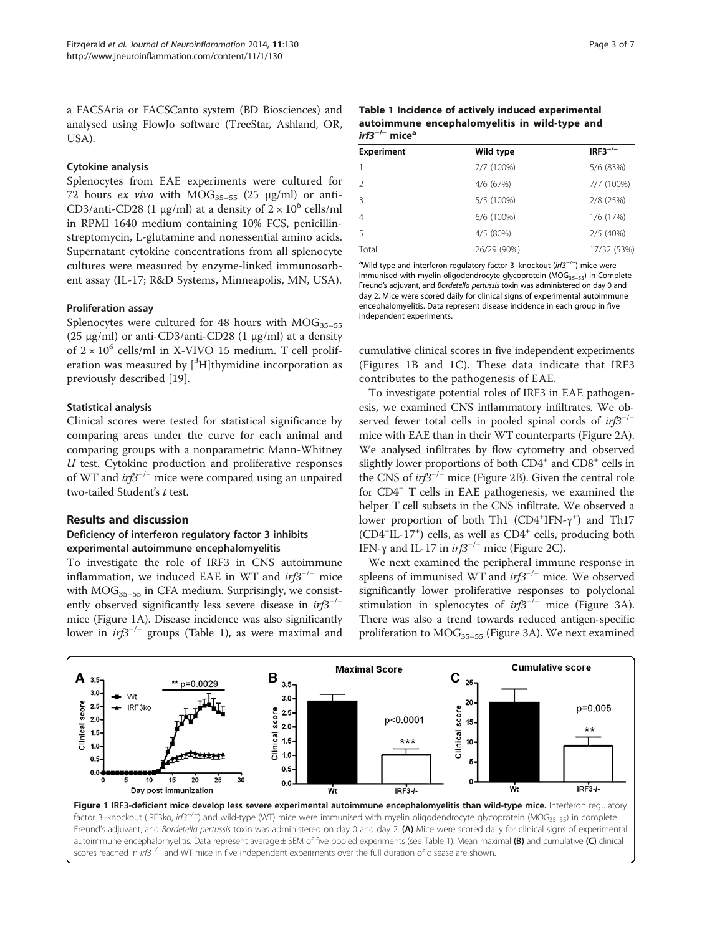a FACSAria or FACSCanto system (BD Biosciences) and analysed using FlowJo software (TreeStar, Ashland, OR, USA).

## Cytokine analysis

Splenocytes from EAE experiments were cultured for 72 hours *ex vivo* with  $MOG_{35-55}$  (25  $\mu$ g/ml) or anti-CD3/anti-CD28 (1  $\mu$ g/ml) at a density of 2 × 10<sup>6</sup> cells/ml in RPMI 1640 medium containing 10% FCS, penicillinstreptomycin, L-glutamine and nonessential amino acids. Supernatant cytokine concentrations from all splenocyte cultures were measured by enzyme-linked immunosorbent assay (IL-17; R&D Systems, Minneapolis, MN, USA).

## Proliferation assay

Splenocytes were cultured for 48 hours with  $MOG_{35-55}$ (25 μg/ml) or anti-CD3/anti-CD28 (1 μg/ml) at a density of  $2 \times 10^6$  cells/ml in X-VIVO 15 medium. T cell proliferation was measured by [<sup>3</sup>H]thymidine incorporation as previously described [\[19\]](#page-6-0).

## Statistical analysis

Clinical scores were tested for statistical significance by comparing areas under the curve for each animal and comparing groups with a nonparametric Mann-Whitney  $U$  test. Cytokine production and proliferative responses of WT and irf3−/<sup>−</sup> mice were compared using an unpaired two-tailed Student's t test.

## Results and discussion

## Deficiency of interferon regulatory factor 3 inhibits experimental autoimmune encephalomyelitis

To investigate the role of IRF3 in CNS autoimmune inflammation, we induced EAE in WT and  $irf3^{-/-}$  mice with  $MOG_{35-55}$  in CFA medium. Surprisingly, we consistently observed significantly less severe disease in  $irf3^{-/-}$ mice (Figure 1A). Disease incidence was also significantly lower in  $irf3^{-/-}$  groups (Table 1), as were maximal and

| Table 1 Incidence of actively induced experimental |
|----------------------------------------------------|
| autoimmune encephalomyelitis in wild-type and      |
| $irf3^{-/-}$ mice <sup>a</sup>                     |

| <b>Experiment</b> | Wild type   | $IRF3^{-/-}$ |  |
|-------------------|-------------|--------------|--|
| 1                 | 7/7 (100%)  | 5/6 (83%)    |  |
| $\mathcal{P}$     | 4/6 (67%)   | 7/7 (100%)   |  |
| 3                 | 5/5 (100%)  | 2/8 (25%)    |  |
| $\overline{4}$    | 6/6 (100%)  | 1/6 (17%)    |  |
| 5                 | 4/5 (80%)   | 2/5 (40%)    |  |
| Total             | 26/29 (90%) | 17/32 (53%)  |  |

<sup>a</sup>Wild-type and interferon regulatory factor 3-knockout (irf3<sup>-/-</sup>) mice were immunised with myelin oligodendrocyte glycoprotein (MOG<sub>35-55</sub>) in Complete Freund's adjuvant, and Bordetella pertussis toxin was administered on day 0 and day 2. Mice were scored daily for clinical signs of experimental autoimmune encephalomyelitis. Data represent disease incidence in each group in five independent experiments.

cumulative clinical scores in five independent experiments (Figures 1B and 1C). These data indicate that IRF3 contributes to the pathogenesis of EAE.

To investigate potential roles of IRF3 in EAE pathogenesis, we examined CNS inflammatory infiltrates. We observed fewer total cells in pooled spinal cords of irf3<sup>-/-</sup> mice with EAE than in their WT counterparts (Figure [2A](#page-3-0)). We analysed infiltrates by flow cytometry and observed slightly lower proportions of both CD4<sup>+</sup> and CD8<sup>+</sup> cells in the CNS of  $irf3^{-/-}$  mice (Figure [2](#page-3-0)B). Given the central role for CD4+ T cells in EAE pathogenesis, we examined the helper T cell subsets in the CNS infiltrate. We observed a lower proportion of both Th1 (CD4<sup>+</sup>IFN-γ<sup>+</sup>) and Th17 (CD4<sup>+</sup>IL-17<sup>+</sup>) cells, as well as CD4<sup>+</sup> cells, producing both IFN- $\gamma$  and IL-17 in *irf3<sup>-/-</sup>* mice (Figure [2](#page-3-0)C).

We next examined the peripheral immune response in spleens of immunised WT and irf3<sup>-/-</sup> mice. We observed significantly lower proliferative responses to polyclonal stimulation in splenocytes of  $irf3^{-/-}$  mice (Figure [3A](#page-4-0)). There was also a trend towards reduced antigen-specific proliferation to  $MOG_{35-55}$  (Figure [3](#page-4-0)A). We next examined

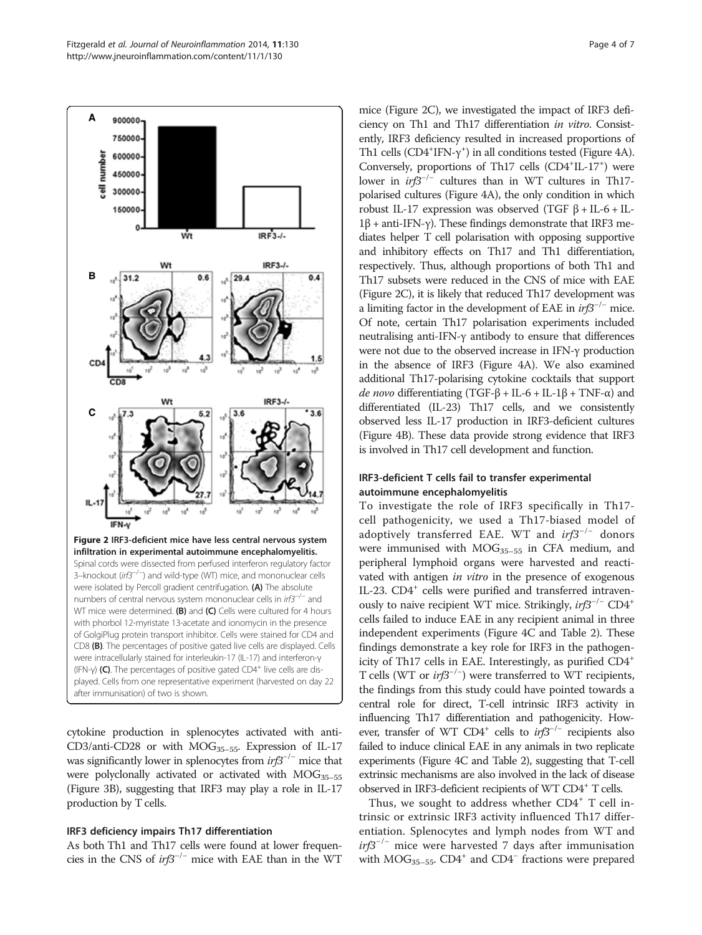<span id="page-3-0"></span>

cytokine production in splenocytes activated with anti-CD3/anti-CD28 or with  $MOG<sub>35-55</sub>$ . Expression of IL-17 was significantly lower in splenocytes from  $irf3^{-/-}$  mice that were polyclonally activated or activated with  $MOG_{35-55}$ (Figure [3B](#page-4-0)), suggesting that IRF3 may play a role in IL-17 production by T cells.

#### IRF3 deficiency impairs Th17 differentiation

As both Th1 and Th17 cells were found at lower frequencies in the CNS of  $irf3^{-/-}$  mice with EAE than in the WT

mice (Figure 2C), we investigated the impact of IRF3 deficiency on Th1 and Th17 differentiation in vitro. Consistently, IRF3 deficiency resulted in increased proportions of Th1 cells ( $CD4+IFN-\gamma^+$ ) in all conditions tested (Figure [4A](#page-5-0)). Conversely, proportions of Th17 cells (CD4<sup>+</sup>IL-17<sup>+</sup>) were lower in irf3−/<sup>−</sup> cultures than in WT cultures in Th17 polarised cultures (Figure [4](#page-5-0)A), the only condition in which robust IL-17 expression was observed (TGF  $β$  + IL-6 + IL-1β + anti-IFN-γ). These findings demonstrate that IRF3 mediates helper T cell polarisation with opposing supportive and inhibitory effects on Th17 and Th1 differentiation, respectively. Thus, although proportions of both Th1 and Th17 subsets were reduced in the CNS of mice with EAE (Figure 2C), it is likely that reduced Th17 development was a limiting factor in the development of EAE in  $irf3^{-/-}$  mice. Of note, certain Th17 polarisation experiments included neutralising anti-IFN-γ antibody to ensure that differences were not due to the observed increase in IFN-γ production in the absence of IRF3 (Figure [4](#page-5-0)A). We also examined additional Th17-polarising cytokine cocktails that support de novo differentiating (TGF-β + IL-6 + IL-1β + TNF-α) and differentiated (IL-23) Th17 cells, and we consistently observed less IL-17 production in IRF3-deficient cultures (Figure [4B](#page-5-0)). These data provide strong evidence that IRF3 is involved in Th17 cell development and function.

## IRF3-deficient T cells fail to transfer experimental autoimmune encephalomyelitis

To investigate the role of IRF3 specifically in Th17 cell pathogenicity, we used a Th17-biased model of adoptively transferred EAE. WT and  $irf3^{-/-}$  donors were immunised with  $MOG_{35-55}$  in CFA medium, and peripheral lymphoid organs were harvested and reactivated with antigen in vitro in the presence of exogenous IL-23. CD4<sup>+</sup> cells were purified and transferred intravenously to naive recipient WT mice. Strikingly,  $irf3^{-/-}$  CD4<sup>+</sup> cells failed to induce EAE in any recipient animal in three independent experiments (Figure [4](#page-5-0)C and Table [2](#page-5-0)). These findings demonstrate a key role for IRF3 in the pathogenicity of Th17 cells in EAE. Interestingly, as purified CD4+ T cells (WT or *irf3<sup>-/-</sup>*) were transferred to WT recipients, the findings from this study could have pointed towards a central role for direct, T-cell intrinsic IRF3 activity in influencing Th17 differentiation and pathogenicity. However, transfer of WT CD4<sup>+</sup> cells to  $irf3^{-/-}$  recipients also failed to induce clinical EAE in any animals in two replicate experiments (Figure [4C](#page-5-0) and Table [2\)](#page-5-0), suggesting that T-cell extrinsic mechanisms are also involved in the lack of disease observed in IRF3-deficient recipients of WT CD4<sup>+</sup> T cells.

Thus, we sought to address whether  $CD4^+$  T cell intrinsic or extrinsic IRF3 activity influenced Th17 differentiation. Splenocytes and lymph nodes from WT and  $irf3^{-/-}$  mice were harvested 7 days after immunisation with  $MOG_{35-55}$ . CD4<sup>+</sup> and CD4<sup>-</sup> fractions were prepared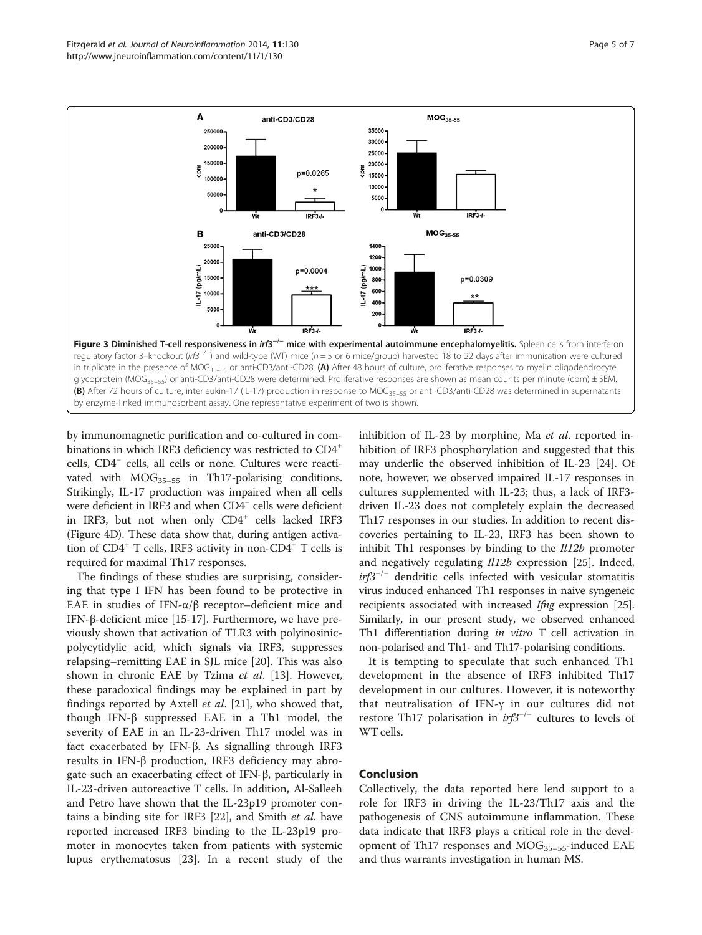<span id="page-4-0"></span>

by immunomagnetic purification and co-cultured in combinations in which IRF3 deficiency was restricted to CD4<sup>+</sup> cells, CD4<sup>−</sup> cells, all cells or none. Cultures were reactivated with  $MOG_{35-55}$  in Th17-polarising conditions. Strikingly, IL-17 production was impaired when all cells were deficient in IRF3 and when CD4<sup>−</sup> cells were deficient in IRF3, but not when only CD4<sup>+</sup> cells lacked IRF3 (Figure [4](#page-5-0)D). These data show that, during antigen activation of CD4<sup>+</sup> T cells, IRF3 activity in non-CD4<sup>+</sup> T cells is required for maximal Th17 responses.

The findings of these studies are surprising, considering that type I IFN has been found to be protective in EAE in studies of IFN-α/β receptor–deficient mice and IFN-β-deficient mice [[15-17\]](#page-6-0). Furthermore, we have previously shown that activation of TLR3 with polyinosinicpolycytidylic acid, which signals via IRF3, suppresses relapsing–remitting EAE in SJL mice [\[20](#page-6-0)]. This was also shown in chronic EAE by Tzima et al. [[13\]](#page-6-0). However, these paradoxical findings may be explained in part by findings reported by Axtell et al. [[21\]](#page-6-0), who showed that, though IFN-β suppressed EAE in a Th1 model, the severity of EAE in an IL-23-driven Th17 model was in fact exacerbated by IFN-β. As signalling through IRF3 results in IFN-β production, IRF3 deficiency may abrogate such an exacerbating effect of IFN-β, particularly in IL-23-driven autoreactive T cells. In addition, Al-Salleeh and Petro have shown that the IL-23p19 promoter contains a binding site for IRF3 [[22](#page-6-0)], and Smith et al. have reported increased IRF3 binding to the IL-23p19 promoter in monocytes taken from patients with systemic lupus erythematosus [\[23](#page-6-0)]. In a recent study of the

inhibition of IL-23 by morphine, Ma et al. reported inhibition of IRF3 phosphorylation and suggested that this may underlie the observed inhibition of IL-23 [[24](#page-6-0)]. Of note, however, we observed impaired IL-17 responses in cultures supplemented with IL-23; thus, a lack of IRF3 driven IL-23 does not completely explain the decreased Th17 responses in our studies. In addition to recent discoveries pertaining to IL-23, IRF3 has been shown to inhibit Th1 responses by binding to the  $1/12b$  promoter and negatively regulating  $Il12b$  expression [\[25\]](#page-6-0). Indeed,  $irf3^{-/-}$  dendritic cells infected with vesicular stomatitis virus induced enhanced Th1 responses in naive syngeneic recipients associated with increased Ifng expression [[25](#page-6-0)]. Similarly, in our present study, we observed enhanced Th1 differentiation during in vitro T cell activation in non-polarised and Th1- and Th17-polarising conditions.

It is tempting to speculate that such enhanced Th1 development in the absence of IRF3 inhibited Th17 development in our cultures. However, it is noteworthy that neutralisation of IFN-γ in our cultures did not restore Th17 polarisation in  $irf3^{-/-}$  cultures to levels of WT cells.

## Conclusion

Collectively, the data reported here lend support to a role for IRF3 in driving the IL-23/Th17 axis and the pathogenesis of CNS autoimmune inflammation. These data indicate that IRF3 plays a critical role in the development of Th17 responses and  $MOG_{35-55}$ -induced EAE and thus warrants investigation in human MS.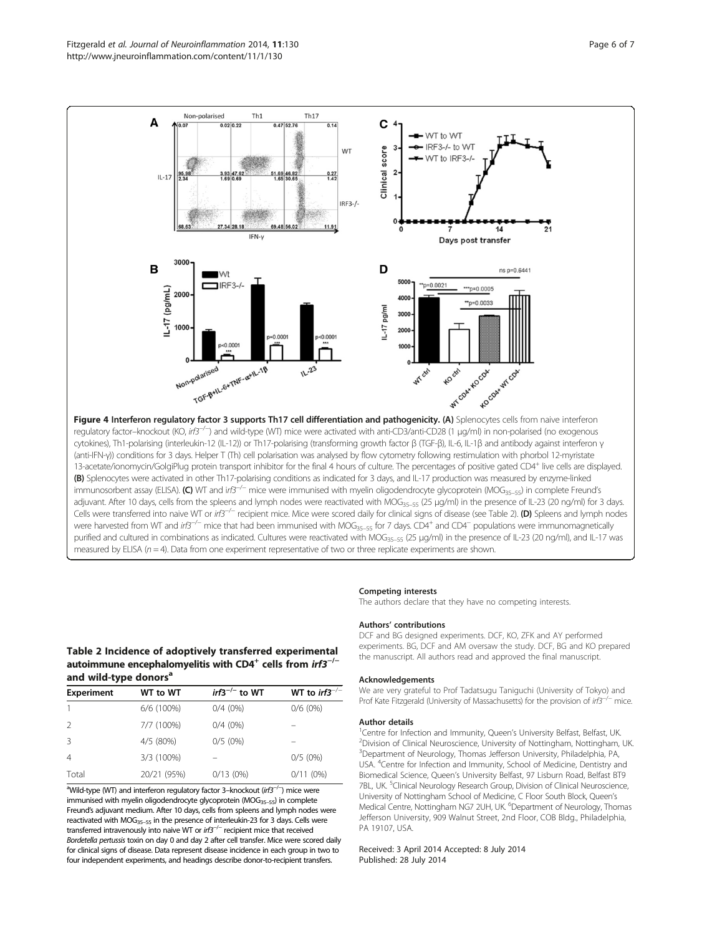<span id="page-5-0"></span>

were harvested from WT and irf3<sup>-/-</sup> mice that had been immunised with MOG<sub>35–55</sub> for 7 days. CD4<sup>+</sup> and CD4<sup>-</sup> populations were immunomagnetically purified and cultured in combinations as indicated. Cultures were reactivated with MOG<sub>35–55</sub> (25 μg/ml) in the presence of IL-23 (20 ng/ml), and IL-17 was measured by ELISA ( $n = 4$ ). Data from one experiment representative of two or three replicate experiments are shown.

## Competing interests

The authors declare that they have no competing interests.

#### Authors' contributions

DCF and BG designed experiments. DCF, KO, ZFK and AY performed experiments. BG, DCF and AM oversaw the study. DCF, BG and KO prepared the manuscript. All authors read and approved the final manuscript.

## Acknowledgements

We are very grateful to Prof Tadatsugu Taniguchi (University of Tokyo) and Prof Kate Fitzgerald (University of Massachusetts) for the provision of irf3<sup>-/−</sup> mice.

#### Author details

<sup>1</sup> Centre for Infection and Immunity, Queen's University Belfast, Belfast, UK<br><sup>2</sup> Division of Clinical Neuroscience, University of Nottingham, Nottingham <sup>2</sup>Division of Clinical Neuroscience, University of Nottingham, Nottingham, UK. <sup>3</sup>Department of Neurology, Thomas Jefferson University, Philadelphia, PA USA. <sup>4</sup>Centre for Infection and Immunity, School of Medicine, Dentistry and Biomedical Science, Queen's University Belfast, 97 Lisburn Road, Belfast BT9 7BL, UK. <sup>5</sup>Clinical Neurology Research Group, Division of Clinical Neuroscience University of Nottingham School of Medicine, C Floor South Block, Queen's Medical Centre, Nottingham NG7 2UH, UK. <sup>6</sup>Department of Neurology, Thomas Jefferson University, 909 Walnut Street, 2nd Floor, COB Bldg., Philadelphia, PA 19107, USA.

#### Received: 3 April 2014 Accepted: 8 July 2014 Published: 28 July 2014

## Table 2 Incidence of adoptively transferred experimental autoimmune encephalomyelitis with CD4<sup>+</sup> cells from  $irf3^{-/-}$ and wild-type donors<sup>a</sup>

| <b>Experiment</b> | WT to WT    | $irf3^{-/-}$ to WT | WT to irf3 <sup>-/-</sup> |  |
|-------------------|-------------|--------------------|---------------------------|--|
|                   | 6/6 (100%)  | $0/4(0\%)$         | $0/6(0\%)$                |  |
| 2                 | 7/7 (100%)  | $0/4(0\%)$         |                           |  |
| 3                 | 4/5 (80%)   | $0/5(0\%)$         |                           |  |
| $\overline{4}$    | 3/3 (100%)  |                    | $0/5(0\%)$                |  |
| Total             | 20/21 (95%) | 0/13(0%)           | 0/11(0%)                  |  |
|                   |             |                    |                           |  |

<sup>a</sup>Wild-type (WT) and interferon regulatory factor 3–knockout (irf3<sup>−/−</sup>) mice were immunised with myelin oligodendrocyte glycoprotein (MOG<sub>35-55</sub>) in complete Freund's adjuvant medium. After 10 days, cells from spleens and lymph nodes were reactivated with MOG35–<sup>55</sup> in the presence of interleukin-23 for 3 days. Cells were transferred intravenously into naive WT or irf3<sup>-/−</sup> recipient mice that received Bordetella pertussis toxin on day 0 and day 2 after cell transfer. Mice were scored daily for clinical signs of disease. Data represent disease incidence in each group in two to four independent experiments, and headings describe donor-to-recipient transfers.